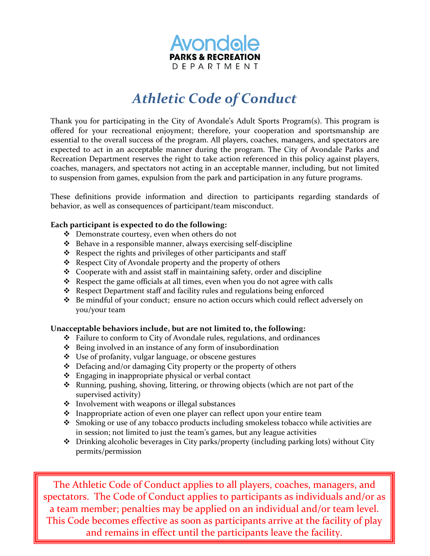

## *Athletic Code of Conduct*

Thank you for participating in the City of Avondale's Adult Sports Program(s). This program is offered for your recreational enjoyment; therefore, your cooperation and sportsmanship are essential to the overall success of the program. All players, coaches, managers, and spectators are expected to act in an acceptable manner during the program. The City of Avondale Parks and Recreation Department reserves the right to take action referenced in this policy against players, coaches, managers, and spectators not acting in an acceptable manner, including, but not limited to suspension from games, expulsion from the park and participation in any future programs.

These definitions provide information and direction to participants regarding standards of behavior, as well as consequences of participant/team misconduct.

### **Each participant is expected to do the following:**

- ❖ Demonstrate courtesy, even when others do not
- ❖ Behave in a responsible manner, always exercising self-discipline
- ❖ Respect the rights and privileges of other participants and staff
- ❖ Respect City of Avondale property and the property of others
- ❖ Cooperate with and assist staff in maintaining safety, order and discipline
- ❖ Respect the game officials at all times, even when you do not agree with calls
- ❖ Respect Department staff and facility rules and regulations being enforced
- ❖ Be mindful of your conduct; ensure no action occurs which could reflect adversely on you/your team

### **Unacceptable behaviors include, but are not limited to, the following:**

- ❖ Failure to conform to City of Avondale rules, regulations, and ordinances
- ❖ Being involved in an instance of any form of insubordination
- ❖ Use of profanity, vulgar language, or obscene gestures
- ❖ Defacing and/or damaging City property or the property of others
- ❖ Engaging in inappropriate physical or verbal contact
- ❖ Running, pushing, shoving, littering, or throwing objects (which are not part of the supervised activity)
- ❖ Involvement with weapons or illegal substances
- ❖ Inappropriate action of even one player can reflect upon your entire team
- ❖ Smoking or use of any tobacco products including smokeless tobacco while activities are in session; not limited to just the team's games, but any league activities
- ❖ Drinking alcoholic beverages in City parks/property (including parking lots) without City permits/permission

The Athletic Code of Conduct applies to all players, coaches, managers, and spectators. The Code of Conduct applies to participants as individuals and/or as a team member; penalties may be applied on an individual and/or team level. This Code becomes effective as soon as participants arrive at the facility of play and remains in effect until the participants leave the facility.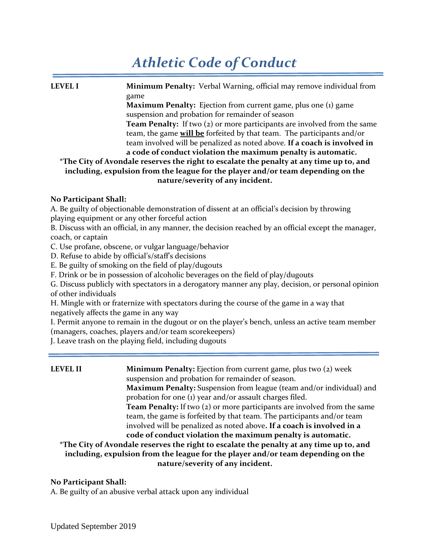# *Athletic Code of Conduct*

**LEVEL I Minimum Penalty:** Verbal Warning, official may remove individual from game **Maximum Penalty:** Ejection from current game, plus one (1) game suspension and probation for remainder of season **Team Penalty:** If two (2) or more participants are involved from the same team, the game **will be** forfeited by that team. The participants and/or team involved will be penalized as noted above. **If a coach is involved in a code of conduct violation the maximum penalty is automatic. \*The City of Avondale reserves the right to escalate the penalty at any time up to, and including, expulsion from the league for the player and/or team depending on the nature/severity of any incident.**

### **No Participant Shall:**

A. Be guilty of objectionable demonstration of dissent at an official's decision by throwing playing equipment or any other forceful action

B. Discuss with an official, in any manner, the decision reached by an official except the manager, coach, or captain

C. Use profane, obscene, or vulgar language/behavior

D. Refuse to abide by official's/staff's decisions

E. Be guilty of smoking on the field of play/dugouts

F. Drink or be in possession of alcoholic beverages on the field of play/dugouts

G. Discuss publicly with spectators in a derogatory manner any play, decision, or personal opinion of other individuals

H. Mingle with or fraternize with spectators during the course of the game in a way that negatively affects the game in any way

I. Permit anyone to remain in the dugout or on the player's bench, unless an active team member (managers, coaches, players and/or team scorekeepers)

J. Leave trash on the playing field, including dugouts

**LEVEL II Minimum Penalty:** Ejection from current game, plus two (2) week suspension and probation for remainder of season. **Maximum Penalty:** Suspension from league (team and/or individual) and probation for one (1) year and/or assault charges filed. **Team Penalty:** If two (2) or more participants are involved from the same team, the game is forfeited by that team. The participants and/or team involved will be penalized as noted above**. If a coach is involved in a code of conduct violation the maximum penalty is automatic. \*The City of Avondale reserves the right to escalate the penalty at any time up to, and including, expulsion from the league for the player and/or team depending on the** 

**nature/severity of any incident.**

### **No Participant Shall:**

A. Be guilty of an abusive verbal attack upon any individual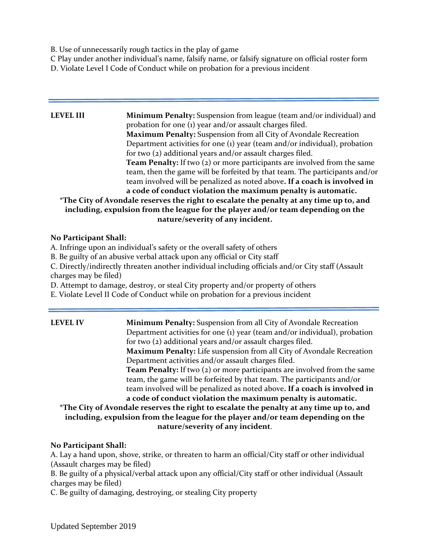B. Use of unnecessarily rough tactics in the play of game

C Play under another individual's name, falsify name, or falsify signature on official roster form

D. Violate Level I Code of Conduct while on probation for a previous incident

## **LEVEL III** Minimum Penalty: Suspension from league (team and/or individual) and probation for one (1) year and/or assault charges filed. **Maximum Penalty:** Suspension from all City of Avondale Recreation Department activities for one (1) year (team and/or individual), probation for two (2) additional years and/or assault charges filed. **Team Penalty:** If two (2) or more participants are involved from the same team, then the game will be forfeited by that team. The participants and/or team involved will be penalized as noted above**. If a coach is involved in a code of conduct violation the maximum penalty is automatic. \*The City of Avondale reserves the right to escalate the penalty at any time up to, and including, expulsion from the league for the player and/or team depending on the nature/severity of any incident.**

## **No Participant Shall:**

A. Infringe upon an individual's safety or the overall safety of others

B. Be guilty of an abusive verbal attack upon any official or City staff

C. Directly/indirectly threaten another individual including officials and/or City staff (Assault charges may be filed)

D. Attempt to damage, destroy, or steal City property and/or property of others

E. Violate Level II Code of Conduct while on probation for a previous incident

**LEVEL IV Minimum Penalty:** Suspension from all City of Avondale Recreation Department activities for one (1) year (team and/or individual), probation for two (2) additional years and/or assault charges filed. **Maximum Penalty:** Life suspension from all City of Avondale Recreation Department activities and/or assault charges filed. **Team Penalty:** If two (2) or more participants are involved from the same team, the game will be forfeited by that team. The participants and/or team involved will be penalized as noted above**. If a coach is involved in a code of conduct violation the maximum penalty is automatic. \*The City of Avondale reserves the right to escalate the penalty at any time up to, and including, expulsion from the league for the player and/or team depending on the** 

**nature/severity of any incident**.

## **No Participant Shall:**

A. Lay a hand upon, shove, strike, or threaten to harm an official/City staff or other individual (Assault charges may be filed)

B. Be guilty of a physical/verbal attack upon any official/City staff or other individual (Assault charges may be filed)

C. Be guilty of damaging, destroying, or stealing City property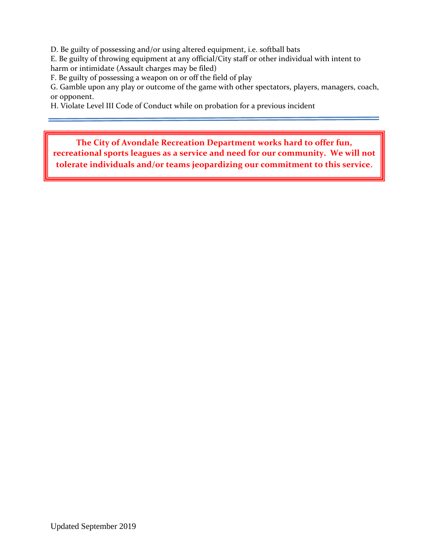D. Be guilty of possessing and/or using altered equipment, i.e. softball bats

E. Be guilty of throwing equipment at any official/City staff or other individual with intent to harm or intimidate (Assault charges may be filed)

F. Be guilty of possessing a weapon on or off the field of play

G. Gamble upon any play or outcome of the game with other spectators, players, managers, coach, or opponent.

H. Violate Level III Code of Conduct while on probation for a previous incident

**The City of Avondale Recreation Department works hard to offer fun, recreational sports leagues as a service and need for our community. We will not tolerate individuals and/or teams jeopardizing our commitment to this service**.